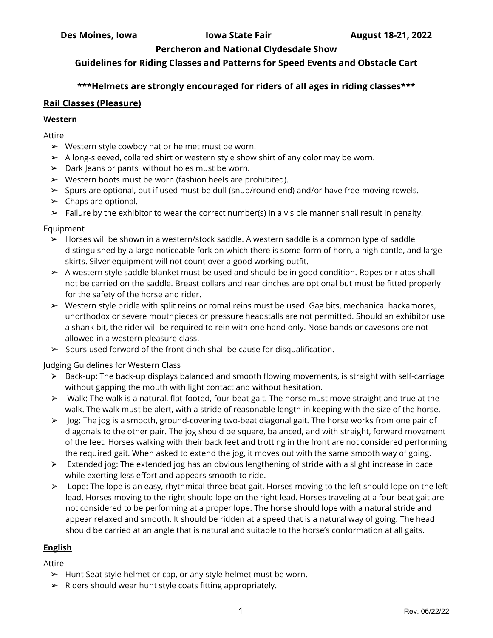# **Guidelines for Riding Classes and Patterns for Speed Events and Obstacle Cart**

# **\*\*\*Helmets are strongly encouraged for riders of all ages in riding classes\*\*\***

### **Rail Classes (Pleasure)**

#### **Western**

Attire

- $\triangleright$  Western style cowboy hat or helmet must be worn.
- ➢ A long-sleeved, collared shirt or western style show shirt of any color may be worn.
- $\triangleright$  Dark Jeans or pants without holes must be worn.
- $\triangleright$  Western boots must be worn (fashion heels are prohibited).
- ➢ Spurs are optional, but if used must be dull (snub/round end) and/or have free-moving rowels.
- $\blacktriangleright$  Chaps are optional.
- $\triangleright$  Failure by the exhibitor to wear the correct number(s) in a visible manner shall result in penalty.

#### Equipment

- $\triangleright$  Horses will be shown in a western/stock saddle. A western saddle is a common type of saddle distinguished by a large noticeable fork on which there is some form of horn, a high cantle, and large skirts. Silver equipment will not count over a good working outfit.
- $\triangleright$  A western style saddle blanket must be used and should be in good condition. Ropes or riatas shall not be carried on the saddle. Breast collars and rear cinches are optional but must be fitted properly for the safety of the horse and rider.
- $\triangleright$  Western style bridle with split reins or romal reins must be used. Gag bits, mechanical hackamores, unorthodox or severe mouthpieces or pressure headstalls are not permitted. Should an exhibitor use a shank bit, the rider will be required to rein with one hand only. Nose bands or cavesons are not allowed in a western pleasure class.
- $\triangleright$  Spurs used forward of the front cinch shall be cause for disqualification.

#### Judging Guidelines for Western Class

- $\triangleright$  Back-up: The back-up displays balanced and smooth flowing movements, is straight with self-carriage without gapping the mouth with light contact and without hesitation.
- $\triangleright$  Walk: The walk is a natural, flat-footed, four-beat gait. The horse must move straight and true at the walk. The walk must be alert, with a stride of reasonable length in keeping with the size of the horse.
- > Jog: The jog is a smooth, ground-covering two-beat diagonal gait. The horse works from one pair of diagonals to the other pair. The jog should be square, balanced, and with straight, forward movement of the feet. Horses walking with their back feet and trotting in the front are not considered performing the required gait. When asked to extend the jog, it moves out with the same smooth way of going.
- $\triangleright$  Extended jog: The extended jog has an obvious lengthening of stride with a slight increase in pace while exerting less effort and appears smooth to ride.
- $\triangleright$  Lope: The lope is an easy, rhythmical three-beat gait. Horses moving to the left should lope on the left lead. Horses moving to the right should lope on the right lead. Horses traveling at a four-beat gait are not considered to be performing at a proper lope. The horse should lope with a natural stride and appear relaxed and smooth. It should be ridden at a speed that is a natural way of going. The head should be carried at an angle that is natural and suitable to the horse's conformation at all gaits.

#### **English**

Attire

- $\blacktriangleright$  Hunt Seat style helmet or cap, or any style helmet must be worn.
- $\triangleright$  Riders should wear hunt style coats fitting appropriately.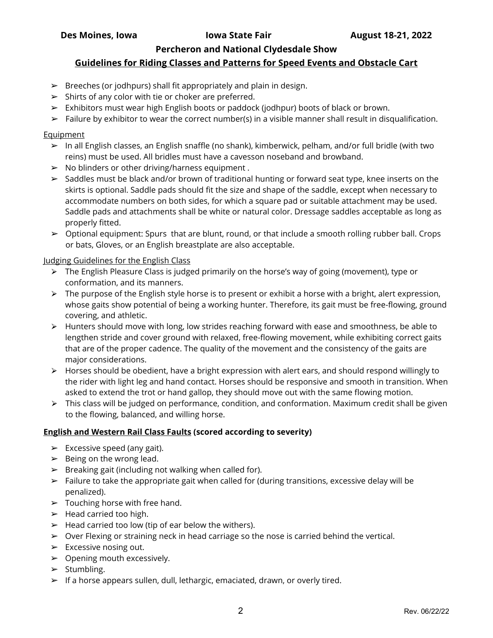# **Guidelines for Riding Classes and Patterns for Speed Events and Obstacle Cart**

- $\triangleright$  Breeches (or jodhpurs) shall fit appropriately and plain in design.
- $\triangleright$  Shirts of any color with tie or choker are preferred.
- $\triangleright$  Exhibitors must wear high English boots or paddock (jodhpur) boots of black or brown.
- $\triangleright$  Failure by exhibitor to wear the correct number(s) in a visible manner shall result in disqualification.

#### **Equipment**

- $\triangleright$  In all English classes, an English snaffle (no shank), kimberwick, pelham, and/or full bridle (with two reins) must be used. All bridles must have a cavesson noseband and browband.
- $\triangleright$  No blinders or other driving/harness equipment.
- $\triangleright$  Saddles must be black and/or brown of traditional hunting or forward seat type, knee inserts on the skirts is optional. Saddle pads should fit the size and shape of the saddle, except when necessary to accommodate numbers on both sides, for which a square pad or suitable attachment may be used. Saddle pads and attachments shall be white or natural color. Dressage saddles acceptable as long as properly fitted.
- $\triangleright$  Optional equipment: Spurs that are blunt, round, or that include a smooth rolling rubber ball. Crops or bats, Gloves, or an English breastplate are also acceptable.

#### Judging Guidelines for the English Class

- $\triangleright$  The English Pleasure Class is judged primarily on the horse's way of going (movement), type or conformation, and its manners.
- $\triangleright$  The purpose of the English style horse is to present or exhibit a horse with a bright, alert expression, whose gaits show potential of being a working hunter. Therefore, its gait must be free-flowing, ground covering, and athletic.
- $\triangleright$  Hunters should move with long, low strides reaching forward with ease and smoothness, be able to lengthen stride and cover ground with relaxed, free-flowing movement, while exhibiting correct gaits that are of the proper cadence. The quality of the movement and the consistency of the gaits are major considerations.
- $\triangleright$  Horses should be obedient, have a bright expression with alert ears, and should respond willingly to the rider with light leg and hand contact. Horses should be responsive and smooth in transition. When asked to extend the trot or hand gallop, they should move out with the same flowing motion.
- $\triangleright$  This class will be judged on performance, condition, and conformation. Maximum credit shall be given to the flowing, balanced, and willing horse.

#### **English and Western Rail Class Faults (scored according to severity)**

- $\triangleright$  Excessive speed (any gait).
- $\blacktriangleright$  Being on the wrong lead.
- $\triangleright$  Breaking gait (including not walking when called for).
- $\triangleright$  Failure to take the appropriate gait when called for (during transitions, excessive delay will be penalized).
- $\blacktriangleright$  Touching horse with free hand.
- $\blacktriangleright$  Head carried too high.
- $\blacktriangleright$  Head carried too low (tip of ear below the withers).
- $\triangleright$  Over Flexing or straining neck in head carriage so the nose is carried behind the vertical.
- $\triangleright$  Excessive nosing out.
- $\triangleright$  Opening mouth excessively.
- $\triangleright$  Stumbling.
- $\triangleright$  If a horse appears sullen, dull, lethargic, emaciated, drawn, or overly tired.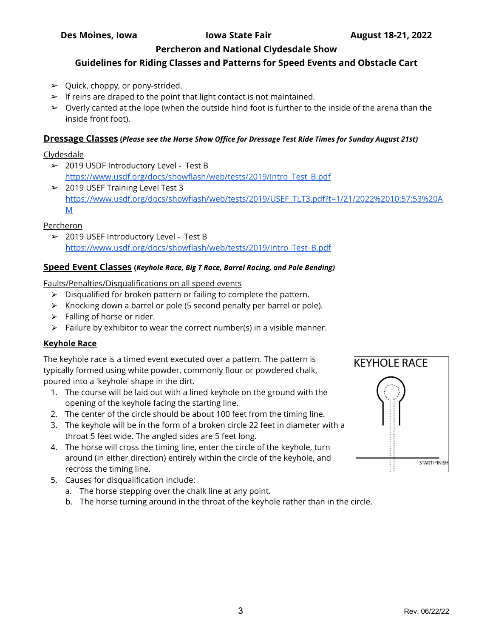# **Guidelines for Riding Classes and Patterns for Speed Events and Obstacle Cart**

- $\triangleright$  Quick, choppy, or pony-strided.
- $\triangleright$  If reins are draped to the point that light contact is not maintained.
- $\triangleright$  Overly canted at the lope (when the outside hind foot is further to the inside of the arena than the inside front foot).

### **Dressage Classes (***Please see the Horse Show Office for Dressage Test Ride Times for Sunday August 21st)*

### Clydesdale

- ➢ 2019 USDF Introductory Level Test B [https://www.usdf.org/docs/showflash/web/tests/2019/Intro\\_Test\\_B.pdf](https://www.usdf.org/docs/showflash/web/tests/2019/Intro_Test_B.pdf)
- $\geq 2019$  USEF Training Level Test 3 [https://www.usdf.org/docs/showflash/web/tests/2019/USEF\\_TLT3.pdf?t=1/21/2022%2010:57:53%20A](https://www.usdf.org/docs/showflash/web/tests/2019/USEF_TLT3.pdf?t=1/21/2022%2010:57:53%20AM) [M](https://www.usdf.org/docs/showflash/web/tests/2019/USEF_TLT3.pdf?t=1/21/2022%2010:57:53%20AM)

# Percheron

➢ 2019 USEF Introductory Level - Test B [https://www.usdf.org/docs/showflash/web/tests/2019/Intro\\_Test\\_B.pdf](https://www.usdf.org/docs/showflash/web/tests/2019/Intro_Test_B.pdf)

### **Speed Event Classes (***Keyhole Race, Big T Race, Barrel Racing, and Pole Bending)*

Faults/Penalties/Disqualifications on all speed events

- $\triangleright$  Disqualified for broken pattern or failing to complete the pattern.
- ⮚ Knocking down a barrel or pole (5 second penalty per barrel or pole).
- $\triangleright$  Falling of horse or rider.
- $\triangleright$  Failure by exhibitor to wear the correct number(s) in a visible manner.

# **Keyhole Race**

The keyhole race is a timed event executed over a pattern. The pattern is typically formed using white powder, commonly flour or powdered chalk, poured into a 'keyhole' shape in the dirt.

- 1. The course will be laid out with a lined keyhole on the ground with the opening of the keyhole facing the starting line.
- 2. The center of the circle should be about 100 feet from the timing line.
- 3. The keyhole will be in the form of a broken circle 22 feet in diameter with a throat 5 feet wide. The angled sides are 5 feet long.
- 4. The horse will cross the timing line, enter the circle of the keyhole, turn around (in either direction) entirely within the circle of the keyhole, and recross the timing line.
- 5. Causes for disqualification include:
	- a. The horse stepping over the chalk line at any point.
	- b. The horse turning around in the throat of the keyhole rather than in the circle.

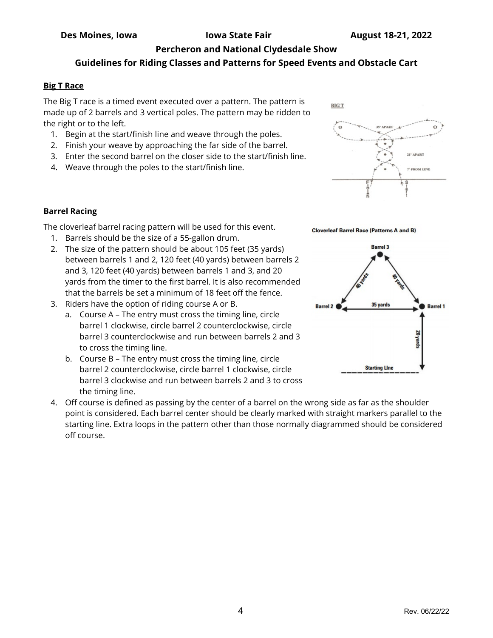# **Guidelines for Riding Classes and Patterns for Speed Events and Obstacle Cart**

# **Big T Race**

The Big T race is a timed event executed over a pattern. The pattern is made up of 2 barrels and 3 vertical poles. The pattern may be ridden to the right or to the left.

- 1. Begin at the start/finish line and weave through the poles.
- 2. Finish your weave by approaching the far side of the barrel.
- 3. Enter the second barrel on the closer side to the start/finish line.
- 4. Weave through the poles to the start/finish line.





The cloverleaf barrel racing pattern will be used for this event.

- 1. Barrels should be the size of a 55-gallon drum.
- 2. The size of the pattern should be about 105 feet (35 yards) between barrels 1 and 2, 120 feet (40 yards) between barrels 2 and 3, 120 feet (40 yards) between barrels 1 and 3, and 20 yards from the timer to the first barrel. It is also recommended that the barrels be set a minimum of 18 feet off the fence.
- 3. Riders have the option of riding course A or B.
	- a. Course A The entry must cross the timing line, circle barrel 1 clockwise, circle barrel 2 counterclockwise, circle barrel 3 counterclockwise and run between barrels 2 and 3 to cross the timing line.
	- b. Course B The entry must cross the timing line, circle barrel 2 counterclockwise, circle barrel 1 clockwise, circle barrel 3 clockwise and run between barrels 2 and 3 to cross the timing line.
- 4. Off course is defined as passing by the center of a barrel on the wrong side as far as the shoulder point is considered. Each barrel center should be clearly marked with straight markers parallel to the starting line. Extra loops in the pattern other than those normally diagrammed should be considered off course.